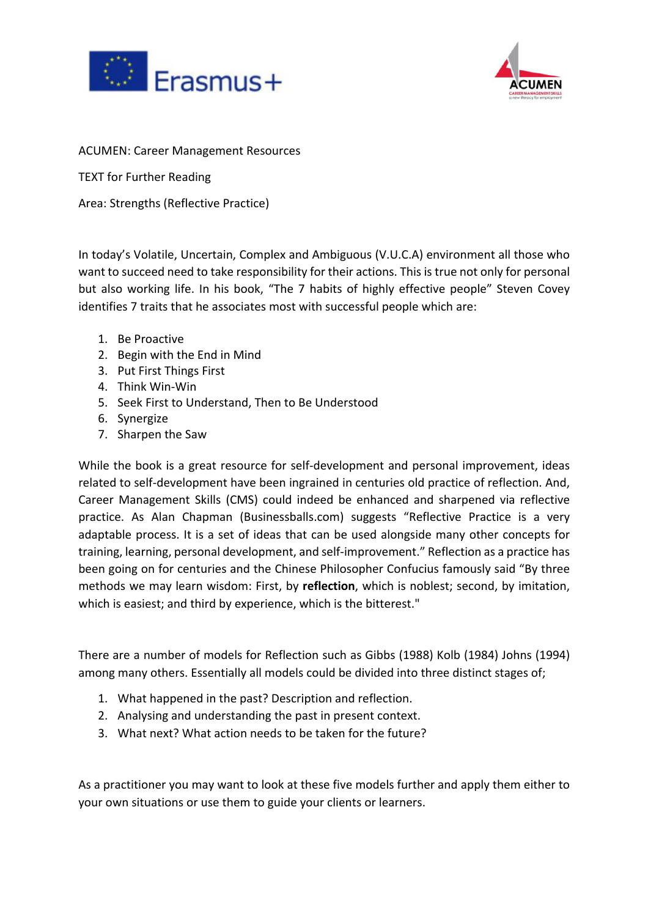



**ACUMEN: Career Management Resources** 

TEXT for Further Reading

Area: Strengths (Reflective Practice)

In today's Volatile, Uncertain, Complex and Ambiguous (V.U.C.A) environment all those who want to succeed need to take responsibility for their actions. This is true not only for personal but also working life. In his book, "The 7 habits of highly effective people" Steven Covey identifies 7 traits that he associates most with successful people which are:

- 1. Be Proactive
- 2. Begin with the End in Mind
- 3. Put First Things First
- 4. Think Win-Win
- 5. Seek First to Understand, Then to Be Understood
- 6. Synergize
- 7. Sharpen the Saw

While the book is a great resource for self-development and personal improvement, ideas related to self-development have been ingrained in centuries old practice of reflection. And, Career Management Skills (CMS) could indeed be enhanced and sharpened via reflective practice. As Alan Chapman (Businessballs.com) suggests "Reflective Practice is a very adaptable process. It is a set of ideas that can be used alongside many other concepts for training, learning, personal development, and self-improvement." Reflection as a practice has been going on for centuries and the Chinese Philosopher Confucius famously said "By three methods we may learn wisdom: First, by **reflection**, which is noblest; second, by imitation, which is easiest; and third by experience, which is the bitterest."

There are a number of models for Reflection such as Gibbs (1988) Kolb (1984) Johns (1994) among many others. Essentially all models could be divided into three distinct stages of;

- 1. What happened in the past? Description and reflection.
- 2. Analysing and understanding the past in present context.
- 3. What next? What action needs to be taken for the future?

As a practitioner you may want to look at these five models further and apply them either to your own situations or use them to guide your clients or learners.